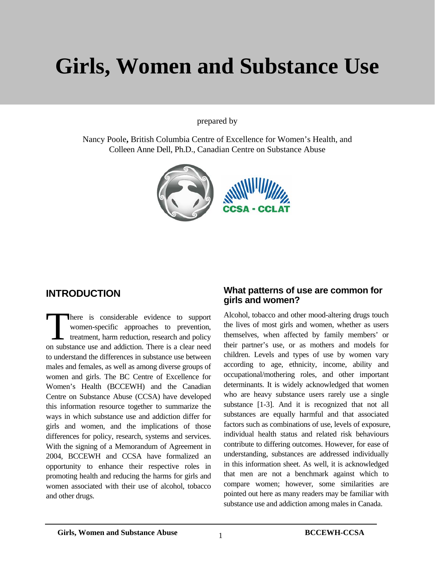# **Girls, Women and Substance Use**

prepared by

Nancy Poole**,** British Columbia Centre of Excellence for Women's Health, and Colleen Anne Dell, Ph.D., Canadian Centre on Substance Abuse



#### **INTRODUCTION**

here is considerable evidence to support women-specific approaches to prevention, treatment, harm reduction, research and policy There is considerable evidence to support women-specific approaches to prevention, treatment, harm reduction, research and policy on substance use and addiction. There is a clear need to understand the differences in substance use between males and females, as well as among diverse groups of women and girls. The BC Centre of Excellence for Women's Health (BCCEWH) and the Canadian Centre on Substance Abuse (CCSA) have developed this information resource together to summarize the ways in which substance use and addiction differ for girls and women, and the implications of those differences for policy, research, systems and services. With the signing of a Memorandum of Agreement in 2004, BCCEWH and CCSA have formalized an opportunity to enhance their respective roles in promoting health and reducing the harms for girls and women associated with their use of alcohol, tobacco and other drugs.

#### **What patterns of use are common for girls and women?**

Alcohol, tobacco and other mood-altering drugs touch the lives of most girls and women, whether as users themselves, when affected by family members' or their partner's use, or as mothers and models for children. Levels and types of use by women vary according to age, ethnicity, income, ability and occupational/mothering roles, and other important determinants. It is widely acknowledged that women who are heavy substance users rarely use a single substance [1-3]. And it is recognized that not all substances are equally harmful and that associated factors such as combinations of use, levels of exposure, individual health status and related risk behaviours contribute to differing outcomes. However, for ease of understanding, substances are addressed individually in this information sheet. As well, it is acknowledged that men are not a benchmark against which to compare women; however, some similarities are pointed out here as many readers may be familiar with substance use and addiction among males in Canada.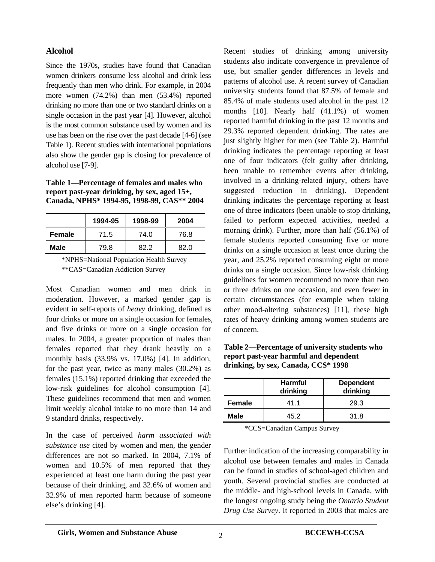#### **Alcohol**

Since the 1970s, studies have found that Canadian women drinkers consume less alcohol and drink less frequently than men who drink. For example, in 2004 more women (74.2%) than men (53.4%) reported drinking no more than one or two standard drinks on a single occasion in the past year [4]. However, alcohol is the most common substance used by women and its use has been on the rise over the past decade [4-6] (see Table 1). Recent studies with international populations also show the gender gap is closing for prevalence of alcohol use [7-9].

**Table 1—Percentage of females and males who report past-year drinking, by sex, aged 15+, Canada, NPHS\* 1994-95, 1998-99, CAS\*\* 2004** 

|        | 1994-95 | 1998-99 | 2004 |
|--------|---------|---------|------|
| Female | 71.5    | 74.0    | 76.8 |
| Male   | 79.8    | 82 2    | 82 O |

 \*NPHS=National Population Health Survey \*\*CAS=Canadian Addiction Survey

Most Canadian women and men drink in moderation. However, a marked gender gap is evident in self-reports of *heavy* drinking, defined as four drinks or more on a single occasion for females, and five drinks or more on a single occasion for males. In 2004, a greater proportion of males than females reported that they drank heavily on a monthly basis (33.9% vs. 17.0%) [4]. In addition, for the past year, twice as many males (30.2%) as females (15.1%) reported drinking that exceeded the low-risk guidelines for alcohol consumption [4]. These guidelines recommend that men and women limit weekly alcohol intake to no more than 14 and 9 standard drinks, respectively.

In the case of perceived *harm associated with substance use* cited by women and men, the gender differences are not so marked. In 2004, 7.1% of women and 10.5% of men reported that they experienced at least one harm during the past year because of their drinking, and 32.6% of women and 32.9% of men reported harm because of someone else's drinking [4].

Recent studies of drinking among university students also indicate convergence in prevalence of use, but smaller gender differences in levels and patterns of alcohol use. A recent survey of Canadian university students found that 87.5% of female and 85.4% of male students used alcohol in the past 12 months [10]. Nearly half (41.1%) of women reported harmful drinking in the past 12 months and 29.3% reported dependent drinking. The rates are just slightly higher for men (see Table 2). Harmful drinking indicates the percentage reporting at least one of four indicators (felt guilty after drinking, been unable to remember events after drinking, involved in a drinking-related injury, others have suggested reduction in drinking). Dependent drinking indicates the percentage reporting at least one of three indicators (been unable to stop drinking, failed to perform expected activities, needed a morning drink). Further, more than half (56.1%) of female students reported consuming five or more drinks on a single occasion at least once during the year, and 25.2% reported consuming eight or more drinks on a single occasion. Since low-risk drinking guidelines for women recommend no more than two or three drinks on one occasion, and even fewer in certain circumstances (for example when taking other mood-altering substances) [11], these high rates of heavy drinking among women students are of concern.

**Table 2—Percentage of university students who report past-year harmful and dependent drinking, by sex, Canada, CCS\* 1998** 

|             | <b>Harmful</b><br>drinking | <b>Dependent</b><br>drinking |
|-------------|----------------------------|------------------------------|
| Female      | 41.1                       | 29.3                         |
| <b>Male</b> | 45.2                       | 31.8                         |

\*CCS=Canadian Campus Survey

Further indication of the increasing comparability in alcohol use between females and males in Canada can be found in studies of school-aged children and youth. Several provincial studies are conducted at the middle- and high-school levels in Canada, with the longest ongoing study being the *Ontario Student Drug Use Survey*. It reported in 2003 that males are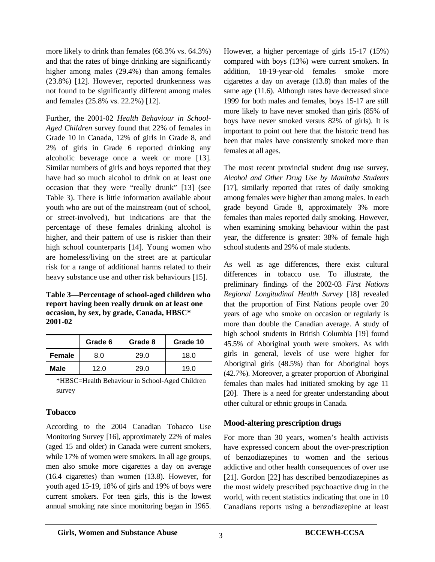more likely to drink than females (68.3% vs. 64.3%) and that the rates of binge drinking are significantly higher among males (29.4%) than among females (23.8%) [12]. However, reported drunkenness was not found to be significantly different among males and females (25.8% vs. 22.2%) [12].

Further, the 2001-02 *Health Behaviour in School-Aged Children* survey found that 22% of females in Grade 10 in Canada, 12% of girls in Grade 8, and 2% of girls in Grade 6 reported drinking any alcoholic beverage once a week or more [13]. Similar numbers of girls and boys reported that they have had so much alcohol to drink on at least one occasion that they were "really drunk" [13] (see Table 3). There is little information available about youth who are out of the mainstream (out of school, or street-involved), but indications are that the percentage of these females drinking alcohol is higher, and their pattern of use is riskier than their high school counterparts [14]. Young women who are homeless/living on the street are at particular risk for a range of additional harms related to their heavy substance use and other risk behaviours [15].

**Table 3—Percentage of school-aged children who report having been really drunk on at least one occasion, by sex, by grade, Canada, HBSC\* 2001-02** 

|               | Grade 6 | Grade 8 | Grade 10 |
|---------------|---------|---------|----------|
| <b>Female</b> | 8.0     | 29.0    | 18.0     |
| Male          | 12.0    | 29 O    | 19.0     |

\*HBSC=Health Behaviour in School-Aged Children survey

#### **Tobacco**

According to the 2004 Canadian Tobacco Use Monitoring Survey [16], approximately 22% of males (aged 15 and older) in Canada were current smokers, while 17% of women were smokers. In all age groups, men also smoke more cigarettes a day on average (16.4 cigarettes) than women (13.8). However, for youth aged 15-19, 18% of girls and 19% of boys were current smokers. For teen girls, this is the lowest annual smoking rate since monitoring began in 1965.

However, a higher percentage of girls 15-17 (15%) compared with boys (13%) were current smokers. In addition, 18-19-year-old females smoke more cigarettes a day on average (13.8) than males of the same age (11.6). Although rates have decreased since 1999 for both males and females, boys 15-17 are still more likely to have never smoked than girls (85% of boys have never smoked versus 82% of girls). It is important to point out here that the historic trend has been that males have consistently smoked more than females at all ages.

The most recent provincial student drug use survey, *Alcohol and Other Drug Use by Manitoba Students*  [17], similarly reported that rates of daily smoking among females were higher than among males. In each grade beyond Grade 8, approximately 3% more females than males reported daily smoking. However, when examining smoking behaviour within the past year, the difference is greater: 38% of female high school students and 29% of male students.

As well as age differences, there exist cultural differences in tobacco use. To illustrate, the preliminary findings of the 2002-03 *First Nations Regional Longitudinal Health Survey* [18] revealed that the proportion of First Nations people over 20 years of age who smoke on occasion or regularly is more than double the Canadian average. A study of high school students in British Columbia [19] found 45.5% of Aboriginal youth were smokers. As with girls in general, levels of use were higher for Aboriginal girls (48.5%) than for Aboriginal boys (42.7%). Moreover, a greater proportion of Aboriginal females than males had initiated smoking by age 11 [20]. There is a need for greater understanding about other cultural or ethnic groups in Canada.

#### **Mood-altering prescription drugs**

For more than 30 years, women's health activists have expressed concern about the over-prescription of benzodiazepines to women and the serious addictive and other health consequences of over use [21]. Gordon [22] has described benzodiazepines as the most widely prescribed psychoactive drug in the world, with recent statistics indicating that one in 10 Canadians reports using a benzodiazepine at least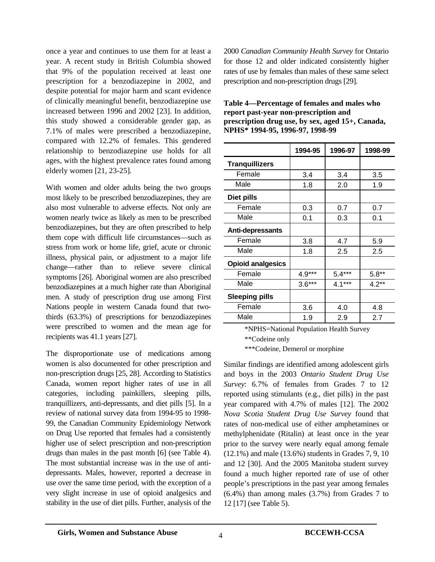once a year and continues to use them for at least a year. A recent study in British Columbia showed that 9% of the population received at least one prescription for a benzodiazepine in 2002, and despite potential for major harm and scant evidence of clinically meaningful benefit, benzodiazepine use increased between 1996 and 2002 [23]. In addition, this study showed a considerable gender gap, as 7.1% of males were prescribed a benzodiazepine, compared with 12.2% of females. This gendered relationship to benzodiazepine use holds for all ages, with the highest prevalence rates found among elderly women [21, 23-25].

With women and older adults being the two groups most likely to be prescribed benzodiazepines, they are also most vulnerable to adverse effects. Not only are women nearly twice as likely as men to be prescribed benzodiazepines, but they are often prescribed to help them cope with difficult life circumstances—such as stress from work or home life, grief, acute or chronic illness, physical pain, or adjustment to a major life change—rather than to relieve severe clinical symptoms [26]. Aboriginal women are also prescribed benzodiazepines at a much higher rate than Aboriginal men. A study of prescription drug use among First Nations people in western Canada found that twothirds (63.3%) of prescriptions for benzodiazepines were prescribed to women and the mean age for recipients was 41.1 years [27].

The disproportionate use of medications among women is also documented for other prescription and non-prescription drugs [25, 28]. According to Statistics Canada, women report higher rates of use in all categories, including painkillers, sleeping pills, tranquillizers, anti-depressants, and diet pills [5]. In a review of national survey data from 1994-95 to 1998- 99, the Canadian Community Epidemiology Network on Drug Use reported that females had a consistently higher use of select prescription and non-prescription drugs than males in the past month [6] (see Table 4). The most substantial increase was in the use of antidepressants. Males, however, reported a decrease in use over the same time period, with the exception of a very slight increase in use of opioid analgesics and stability in the use of diet pills. Further, analysis of the

2000 *Canadian Community Health Survey* for Ontario for those 12 and older indicated consistently higher rates of use by females than males of these same select prescription and non-prescription drugs [29].

|                          | 1994-95  | 1996-97  | 1998-99 |
|--------------------------|----------|----------|---------|
| <b>Tranquillizers</b>    |          |          |         |
| Female                   | 3.4      | 3.4      | 3.5     |
| Male                     | 1.8      | 2.0      | 1.9     |
| Diet pills               |          |          |         |
| Female                   | 0.3      | 0.7      | 0.7     |
| Male                     | 0.1      | 0.3      | 0.1     |
| Anti-depressants         |          |          |         |
| Female                   | 3.8      | 4.7      | 5.9     |
| Male                     | 1.8      | 2.5      | 2.5     |
| <b>Opioid analgesics</b> |          |          |         |
| Female                   | $4.9***$ | $5.4***$ | $5.8**$ |
| Male                     | $3.6***$ | $4.1***$ | $4.2**$ |
| <b>Sleeping pills</b>    |          |          |         |
| Female                   | 3.6      | 4.0      | 4.8     |
| Male                     | 1.9      | 2.9      | 2.7     |

**Table 4—Percentage of females and males who report past-year non-prescription and prescription drug use, by sex, aged 15+, Canada, NPHS\* 1994-95, 1996-97, 1998-99** 

> \*NPHS=National Population Health Survey \*\*Codeine only

\*\*\*Codeine, Demerol or morphine

Similar findings are identified among adolescent girls and boys in the 2003 *Ontario Student Drug Use Survey*: 6.7% of females from Grades 7 to 12 reported using stimulants (e.g., diet pills) in the past year compared with 4.7% of males [12]. The 2002 *Nova Scotia Student Drug Use Survey* found that rates of non-medical use of either amphetamines or methylphenidate (Ritalin) at least once in the year prior to the survey were nearly equal among female (12.1%) and male (13.6%) students in Grades 7, 9, 10 and 12 [30]. And the 2005 Manitoba student survey found a much higher reported rate of use of other people's prescriptions in the past year among females (6.4%) than among males (3.7%) from Grades 7 to 12 [17] (see Table 5).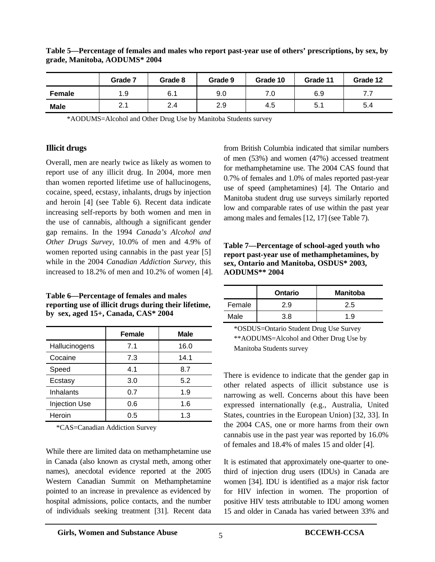|               | Grade 7     | Grade 8 | Grade 9 | Grade 10 | Grade 11 | Grade 12 |
|---------------|-------------|---------|---------|----------|----------|----------|
| <b>Female</b> | 1.9         | 6.1     | 9.0     |          | 6.9      | .        |
| <b>Male</b>   | O 1<br>2. I | 2.4     | 2.9     | 4.5      | 5. .     | 5.4      |

#### **Table 5—Percentage of females and males who report past-year use of others' prescriptions, by sex, by grade, Manitoba, AODUMS\* 2004**

\*AODUMS=Alcohol and Other Drug Use by Manitoba Students survey

#### **Illicit drugs**

Overall, men are nearly twice as likely as women to report use of any illicit drug. In 2004, more men than women reported lifetime use of hallucinogens, cocaine, speed, ecstasy, inhalants, drugs by injection and heroin [4] (see Table 6). Recent data indicate increasing self-reports by both women and men in the use of cannabis, although a significant gender gap remains. In the 1994 *Canada's Alcohol and Other Drugs Survey*, 10.0% of men and 4.9% of women reported using cannabis in the past year [5] while in the 2004 *Canadian Addiction Survey,* this increased to 18.2% of men and 10.2% of women [4].

**Table 6—Percentage of females and males reporting use of illicit drugs during their lifetime, by sex, aged 15+, Canada, CAS\* 2004** 

|                      | <b>Female</b> | <b>Male</b> |
|----------------------|---------------|-------------|
| Hallucinogens        | 7.1           | 16.0        |
| Cocaine              | 7.3           | 14.1        |
| Speed                | 4.1           | 8.7         |
| Ecstasy              | 3.0           | 5.2         |
| Inhalants            | 0.7           | 1.9         |
| <b>Injection Use</b> | 0.6           | 1.6         |
| Heroin               | 0.5           | 1.3         |

\*CAS=Canadian Addiction Survey

While there are limited data on methamphetamine use in Canada (also known as crystal meth, among other names), anecdotal evidence reported at the 2005 Western Canadian Summit on Methamphetamine pointed to an increase in prevalence as evidenced by hospital admissions, police contacts, and the number of individuals seeking treatment [31]. Recent data

from British Columbia indicated that similar numbers of men (53%) and women (47%) accessed treatment for methamphetamine use. The 2004 CAS found that 0.7% of females and 1.0% of males reported past-year use of speed (amphetamines) [4]. The Ontario and Manitoba student drug use surveys similarly reported low and comparable rates of use within the past year among males and females [12, 17] (see Table 7).

**Table 7—Percentage of school-aged youth who report past-year use of methamphetamines, by sex, Ontario and Manitoba, OSDUS\* 2003, AODUMS\*\* 2004** 

|        | <b>Ontario</b> | <b>Manitoba</b> |
|--------|----------------|-----------------|
| Female | 2.9            | 2.5             |
| Male   | 3.8            | 1.9             |

\*OSDUS=Ontario Student Drug Use Survey \*\*AODUMS=Alcohol and Other Drug Use by Manitoba Students survey

There is evidence to indicate that the gender gap in other related aspects of illicit substance use is narrowing as well. Concerns about this have been expressed internationally (e.g., Australia, United States, countries in the European Union) [32, 33]. In the 2004 CAS, one or more harms from their own cannabis use in the past year was reported by 16.0% of females and 18.4% of males 15 and older [4].

It is estimated that approximately one-quarter to onethird of injection drug users (IDUs) in Canada are women [34]. IDU is identified as a major risk factor for HIV infection in women. The proportion of positive HIV tests attributable to IDU among women 15 and older in Canada has varied between 33% and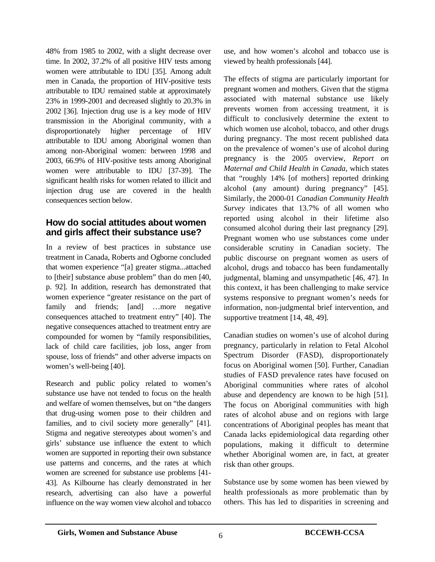48% from 1985 to 2002, with a slight decrease over time. In 2002, 37.2% of all positive HIV tests among women were attributable to IDU [35]. Among adult men in Canada, the proportion of HIV-positive tests attributable to IDU remained stable at approximately 23% in 1999-2001 and decreased slightly to 20.3% in 2002 [36]. Injection drug use is a key mode of HIV transmission in the Aboriginal community, with a disproportionately higher percentage of HIV attributable to IDU among Aboriginal women than among non-Aboriginal women: between 1998 and 2003, 66.9% of HIV-positive tests among Aboriginal women were attributable to IDU [37-39]. The significant health risks for women related to illicit and injection drug use are covered in the health consequences section below.

## **How do social attitudes about women and girls affect their substance use?**

In a review of best practices in substance use treatment in Canada, Roberts and Ogborne concluded that women experience "[a] greater stigma...attached to [their] substance abuse problem" than do men [40, p. 92]. In addition, research has demonstrated that women experience "greater resistance on the part of family and friends; [and] ...more negative consequences attached to treatment entry" [40]. The negative consequences attached to treatment entry are compounded for women by "family responsibilities, lack of child care facilities, job loss, anger from spouse, loss of friends" and other adverse impacts on women's well-being [40].

Research and public policy related to women's substance use have not tended to focus on the health and welfare of women themselves, but on "the dangers that drug-using women pose to their children and families, and to civil society more generally" [41]. Stigma and negative stereotypes about women's and girls' substance use influence the extent to which women are supported in reporting their own substance use patterns and concerns, and the rates at which women are screened for substance use problems [41- 43]. As Kilbourne has clearly demonstrated in her research, advertising can also have a powerful influence on the way women view alcohol and tobacco use, and how women's alcohol and tobacco use is viewed by health professionals [44].

The effects of stigma are particularly important for pregnant women and mothers. Given that the stigma associated with maternal substance use likely prevents women from accessing treatment, it is difficult to conclusively determine the extent to which women use alcohol, tobacco, and other drugs during pregnancy. The most recent published data on the prevalence of women's use of alcohol during pregnancy is the 2005 overview, *Report on Maternal and Child Health in Canada*, which states that "roughly 14% [of mothers] reported drinking alcohol (any amount) during pregnancy" [45]. Similarly, the 2000-01 *Canadian Community Health Survey* indicates that 13.7% of all women who reported using alcohol in their lifetime also consumed alcohol during their last pregnancy [29]. Pregnant women who use substances come under considerable scrutiny in Canadian society. The public discourse on pregnant women as users of alcohol, drugs and tobacco has been fundamentally judgmental, blaming and unsympathetic [46, 47]. In this context, it has been challenging to make service systems responsive to pregnant women's needs for information, non-judgmental brief intervention, and supportive treatment [14, 48, 49].

Canadian studies on women's use of alcohol during pregnancy, particularly in relation to Fetal Alcohol Spectrum Disorder (FASD), disproportionately focus on Aboriginal women [50]. Further, Canadian studies of FASD prevalence rates have focused on Aboriginal communities where rates of alcohol abuse and dependency are known to be high [51]. The focus on Aboriginal communities with high rates of alcohol abuse and on regions with large concentrations of Aboriginal peoples has meant that Canada lacks epidemiological data regarding other populations, making it difficult to determine whether Aboriginal women are, in fact, at greater risk than other groups.

Substance use by some women has been viewed by health professionals as more problematic than by others. This has led to disparities in screening and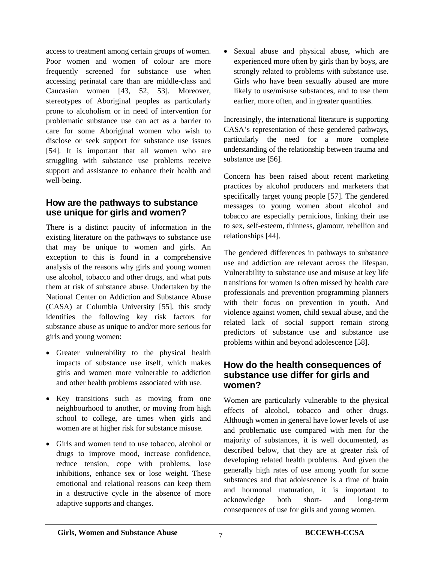access to treatment among certain groups of women. Poor women and women of colour are more frequently screened for substance use when accessing perinatal care than are middle-class and Caucasian women [43, 52, 53]. Moreover, stereotypes of Aboriginal peoples as particularly prone to alcoholism or in need of intervention for problematic substance use can act as a barrier to care for some Aboriginal women who wish to disclose or seek support for substance use issues [54]. It is important that all women who are struggling with substance use problems receive support and assistance to enhance their health and well-being.

## **How are the pathways to substance use unique for girls and women?**

There is a distinct paucity of information in the existing literature on the pathways to substance use that may be unique to women and girls. An exception to this is found in a comprehensive analysis of the reasons why girls and young women use alcohol, tobacco and other drugs, and what puts them at risk of substance abuse. Undertaken by the National Center on Addiction and Substance Abuse (CASA) at Columbia University [55], this study identifies the following key risk factors for substance abuse as unique to and/or more serious for girls and young women:

- Greater vulnerability to the physical health impacts of substance use itself, which makes girls and women more vulnerable to addiction and other health problems associated with use.
- Key transitions such as moving from one neighbourhood to another, or moving from high school to college, are times when girls and women are at higher risk for substance misuse.
- Girls and women tend to use tobacco, alcohol or drugs to improve mood, increase confidence, reduce tension, cope with problems, lose inhibitions, enhance sex or lose weight. These emotional and relational reasons can keep them in a destructive cycle in the absence of more adaptive supports and changes.

• Sexual abuse and physical abuse, which are experienced more often by girls than by boys, are strongly related to problems with substance use. Girls who have been sexually abused are more likely to use/misuse substances, and to use them earlier, more often, and in greater quantities.

Increasingly, the international literature is supporting CASA's representation of these gendered pathways, particularly the need for a more complete understanding of the relationship between trauma and substance use [56].

Concern has been raised about recent marketing practices by alcohol producers and marketers that specifically target young people [57]. The gendered messages to young women about alcohol and tobacco are especially pernicious, linking their use to sex, self-esteem, thinness, glamour, rebellion and relationships [44].

The gendered differences in pathways to substance use and addiction are relevant across the lifespan. Vulnerability to substance use and misuse at key life transitions for women is often missed by health care professionals and prevention programming planners with their focus on prevention in youth. And violence against women, child sexual abuse, and the related lack of social support remain strong predictors of substance use and substance use problems within and beyond adolescence [58].

## **How do the health consequences of substance use differ for girls and women?**

Women are particularly vulnerable to the physical effects of alcohol, tobacco and other drugs. Although women in general have lower levels of use and problematic use compared with men for the majority of substances, it is well documented, as described below, that they are at greater risk of developing related health problems. And given the generally high rates of use among youth for some substances and that adolescence is a time of brain and hormonal maturation, it is important to acknowledge both short- and long-term consequences of use for girls and young women.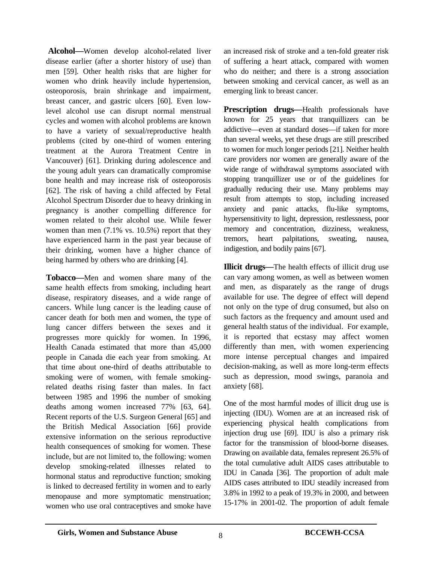**Alcohol—**Women develop alcohol-related liver disease earlier (after a shorter history of use) than men [59]. Other health risks that are higher for women who drink heavily include hypertension, osteoporosis, brain shrinkage and impairment, breast cancer, and gastric ulcers [60]. Even lowlevel alcohol use can disrupt normal menstrual cycles and women with alcohol problems are known to have a variety of sexual/reproductive health problems (cited by one-third of women entering treatment at the Aurora Treatment Centre in Vancouver) [61]. Drinking during adolescence and the young adult years can dramatically compromise bone health and may increase risk of osteoporosis [62]. The risk of having a child affected by Fetal Alcohol Spectrum Disorder due to heavy drinking in pregnancy is another compelling difference for women related to their alcohol use. While fewer women than men  $(7.1\% \text{ vs. } 10.5\%)$  report that they have experienced harm in the past year because of their drinking, women have a higher chance of being harmed by others who are drinking [4].

**Tobacco—**Men and women share many of the same health effects from smoking, including heart disease, respiratory diseases, and a wide range of cancers. While lung cancer is the leading cause of cancer death for both men and women, the type of lung cancer differs between the sexes and it progresses more quickly for women. In 1996, Health Canada estimated that more than 45,000 people in Canada die each year from smoking. At that time about one-third of deaths attributable to smoking were of women, with female smokingrelated deaths rising faster than males. In fact between 1985 and 1996 the number of smoking deaths among women increased 77% [63, 64]. Recent reports of the U.S. Surgeon General [65] and the British Medical Association [66] provide extensive information on the serious reproductive health consequences of smoking for women. These include, but are not limited to, the following: women develop smoking-related illnesses related to hormonal status and reproductive function; smoking is linked to decreased fertility in women and to early menopause and more symptomatic menstruation; women who use oral contraceptives and smoke have an increased risk of stroke and a ten-fold greater risk of suffering a heart attack, compared with women who do neither; and there is a strong association between smoking and cervical cancer, as well as an emerging link to breast cancer.

**Prescription drugs—Health professionals have** known for 25 years that tranquillizers can be addictive—even at standard doses—if taken for more than several weeks, yet these drugs are still prescribed to women for much longer periods [21]. Neither health care providers nor women are generally aware of the wide range of withdrawal symptoms associated with stopping tranquillizer use or of the guidelines for gradually reducing their use. Many problems may result from attempts to stop, including increased anxiety and panic attacks, flu-like symptoms, hypersensitivity to light, depression, restlessness, poor memory and concentration, dizziness, weakness, tremors, heart palpitations, sweating, nausea, indigestion, and bodily pains [67].

**Illicit drugs—The health effects of illicit drug use** can vary among women, as well as between women and men, as disparately as the range of drugs available for use. The degree of effect will depend not only on the type of drug consumed, but also on such factors as the frequency and amount used and general health status of the individual. For example, it is reported that ecstasy may affect women differently than men, with women experiencing more intense perceptual changes and impaired decision-making, as well as more long-term effects such as depression, mood swings, paranoia and anxiety [68].

One of the most harmful modes of illicit drug use is injecting (IDU). Women are at an increased risk of experiencing physical health complications from injection drug use [69]. IDU is also a primary risk factor for the transmission of blood-borne diseases. Drawing on available data, females represent 26.5% of the total cumulative adult AIDS cases attributable to IDU in Canada [36]. The proportion of adult male AIDS cases attributed to IDU steadily increased from 3.8% in 1992 to a peak of 19.3% in 2000, and between 15-17% in 2001-02. The proportion of adult female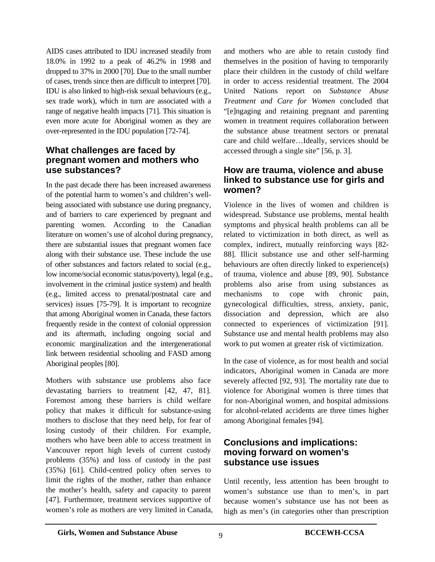AIDS cases attributed to IDU increased steadily from 18.0% in 1992 to a peak of 46.2% in 1998 and dropped to 37% in 2000 [70]. Due to the small number of cases, trends since then are difficult to interpret [70]. IDU is also linked to high-risk sexual behaviours (e.g., sex trade work), which in turn are associated with a range of negative health impacts [71]. This situation is even more acute for Aboriginal women as they are over-represented in the IDU population [72-74].

# **What challenges are faced by pregnant women and mothers who use substances?**

In the past decade there has been increased awareness of the potential harm to women's and children's wellbeing associated with substance use during pregnancy, and of barriers to care experienced by pregnant and parenting women. According to the Canadian literature on women's use of alcohol during pregnancy, there are substantial issues that pregnant women face along with their substance use. These include the use of other substances and factors related to social (e.g., low income/social economic status/poverty), legal (e.g., involvement in the criminal justice system) and health (e.g., limited access to prenatal/postnatal care and services) issues [75-79]. It is important to recognize that among Aboriginal women in Canada, these factors frequently reside in the context of colonial oppression and its aftermath, including ongoing social and economic marginalization and the intergenerational link between residential schooling and FASD among Aboriginal peoples [80].

Mothers with substance use problems also face devastating barriers to treatment [42, 47, 81]. Foremost among these barriers is child welfare policy that makes it difficult for substance-using mothers to disclose that they need help, for fear of losing custody of their children. For example, mothers who have been able to access treatment in Vancouver report high levels of current custody problems (35%) and loss of custody in the past (35%) [61]. Child-centred policy often serves to limit the rights of the mother, rather than enhance the mother's health, safety and capacity to parent [47]. Furthermore, treatment services supportive of women's role as mothers are very limited in Canada, and mothers who are able to retain custody find themselves in the position of having to temporarily place their children in the custody of child welfare in order to access residential treatment. The 2004 United Nations report on *Substance Abuse Treatment and Care for Women* concluded that "[e]ngaging and retaining pregnant and parenting women in treatment requires collaboration between the substance abuse treatment sectors or prenatal care and child welfare…Ideally, services should be accessed through a single site" [56, p. 3].

## **How are trauma, violence and abuse linked to substance use for girls and women?**

Violence in the lives of women and children is widespread. Substance use problems, mental health symptoms and physical health problems can all be related to victimization in both direct, as well as complex, indirect, mutually reinforcing ways [82- 88]. Illicit substance use and other self-harming behaviours are often directly linked to experience(s) of trauma, violence and abuse [89, 90]. Substance problems also arise from using substances as mechanisms to cope with chronic pain, gynecological difficulties, stress, anxiety, panic, dissociation and depression, which are also connected to experiences of victimization [91]. Substance use and mental health problems may also work to put women at greater risk of victimization.

In the case of violence, as for most health and social indicators, Aboriginal women in Canada are more severely affected [92, 93]. The mortality rate due to violence for Aboriginal women is three times that for non-Aboriginal women, and hospital admissions for alcohol-related accidents are three times higher among Aboriginal females [94].

# **Conclusions and implications: moving forward on women's substance use issues**

Until recently, less attention has been brought to women's substance use than to men's, in part because women's substance use has not been as high as men's (in categories other than prescription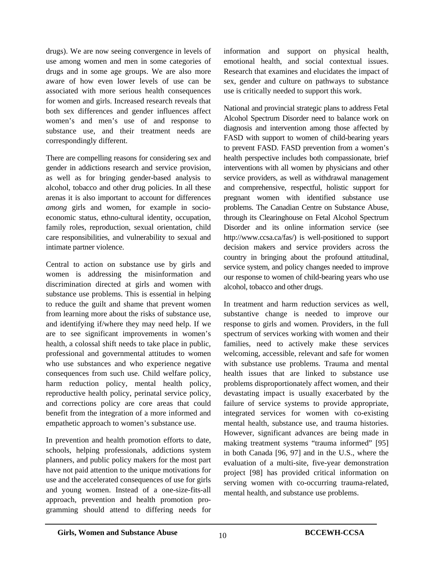drugs). We are now seeing convergence in levels of use among women and men in some categories of drugs and in some age groups. We are also more aware of how even lower levels of use can be associated with more serious health consequences for women and girls. Increased research reveals that both sex differences and gender influences affect women's and men's use of and response to substance use, and their treatment needs are correspondingly different.

There are compelling reasons for considering sex and gender in addictions research and service provision, as well as for bringing gender-based analysis to alcohol, tobacco and other drug policies. In all these arenas it is also important to account for differences *among* girls and women, for example in socioeconomic status, ethno-cultural identity, occupation, family roles, reproduction, sexual orientation, child care responsibilities, and vulnerability to sexual and intimate partner violence.

Central to action on substance use by girls and women is addressing the misinformation and discrimination directed at girls and women with substance use problems. This is essential in helping to reduce the guilt and shame that prevent women from learning more about the risks of substance use, and identifying if/where they may need help. If we are to see significant improvements in women's health, a colossal shift needs to take place in public, professional and governmental attitudes to women who use substances and who experience negative consequences from such use. Child welfare policy, harm reduction policy, mental health policy, reproductive health policy, perinatal service policy, and corrections policy are core areas that could benefit from the integration of a more informed and empathetic approach to women's substance use.

In prevention and health promotion efforts to date, schools, helping professionals, addictions system planners, and public policy makers for the most part have not paid attention to the unique motivations for use and the accelerated consequences of use for girls and young women. Instead of a one-size-fits-all approach, prevention and health promotion programming should attend to differing needs for information and support on physical health, emotional health, and social contextual issues. Research that examines and elucidates the impact of sex, gender and culture on pathways to substance use is critically needed to support this work.

National and provincial strategic plans to address Fetal Alcohol Spectrum Disorder need to balance work on diagnosis and intervention among those affected by FASD with support to women of child-bearing years to prevent FASD. FASD prevention from a women's health perspective includes both compassionate, brief interventions with all women by physicians and other service providers, as well as withdrawal management and comprehensive, respectful, holistic support for pregnant women with identified substance use problems. The Canadian Centre on Substance Abuse, through its Clearinghouse on Fetal Alcohol Spectrum Disorder and its online information service (see http://www.ccsa.ca/fas/) is well-positioned to support decision makers and service providers across the country in bringing about the profound attitudinal, service system, and policy changes needed to improve our response to women of child-bearing years who use alcohol, tobacco and other drugs.

In treatment and harm reduction services as well, substantive change is needed to improve our response to girls and women. Providers, in the full spectrum of services working with women and their families, need to actively make these services welcoming, accessible, relevant and safe for women with substance use problems. Trauma and mental health issues that are linked to substance use problems disproportionately affect women, and their devastating impact is usually exacerbated by the failure of service systems to provide appropriate, integrated services for women with co-existing mental health, substance use, and trauma histories. However, significant advances are being made in making treatment systems "trauma informed" [95] in both Canada [96, 97] and in the U.S., where the evaluation of a multi-site, five-year demonstration project [98] has provided critical information on serving women with co-occurring trauma-related, mental health, and substance use problems.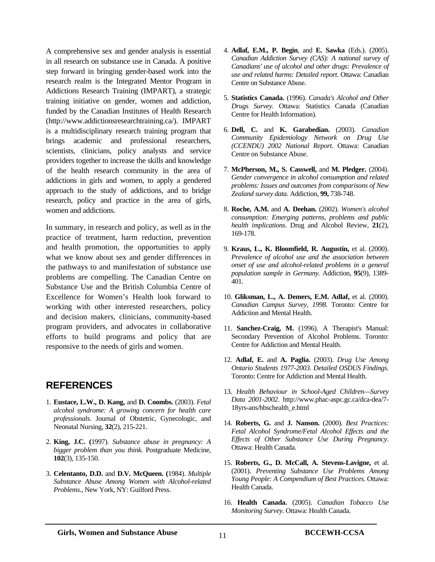A comprehensive sex and gender analysis is essential in all research on substance use in Canada. A positive step forward in bringing gender-based work into the research realm is the Integrated Mentor Program in Addictions Research Training (IMPART), a strategic training initiative on gender, women and addiction, funded by the Canadian Institutes of Health Research (http://www.addictionsresearchtraining.ca/). IMPART is a multidisciplinary research training program that brings academic and professional researchers, scientists, clinicians, policy analysts and service providers together to increase the skills and knowledge of the health research community in the area of addictions in girls and women, to apply a gendered approach to the study of addictions, and to bridge research, policy and practice in the area of girls, women and addictions.

In summary, in research and policy, as well as in the practice of treatment, harm reduction, prevention and health promotion, the opportunities to apply what we know about sex and gender differences in the pathways to and manifestation of substance use problems are compelling. The Canadian Centre on Substance Use and the British Columbia Centre of Excellence for Women's Health look forward to working with other interested researchers, policy and decision makers, clinicians, community-based program providers, and advocates in collaborative efforts to build programs and policy that are responsive to the needs of girls and women.

# **REFERENCES**

- 1. **Eustace, L.W., D. Kang,** and **D. Coombs.** (2003). *Fetal alcohol syndrome: A growing concern for health care professionals.* Journal of Obstetric, Gynecologic, and Neonatal Nursing, **32**(2), 215-221.
- 2. **King, J.C. (**1997). *Substance abuse in pregnancy: A bigger problem than you think.* Postgraduate Medicine, **102**(3), 135-150.
- 3. **Celentanto, D.D.** and **D.V. McQueen. (**1984). *Multiple Substance Abuse Among Women with Alcohol-related Problems*., New York, NY: Guilford Press.
- 4. **Adlaf, E.M., P. Begin**, and **E. Sawka** (Eds.). (2005). *Canadian Addiction Survey (CAS): A national survey of Canadians' use of alcohol and other drugs: Prevalence of use and related harms: Detailed report*. Ottawa: Canadian Centre on Substance Abuse.
- 5. **Statistics Canada.** (1996). *Canada's Alcohol and Other Drugs Survey.* Ottawa: Statistics Canada (Canadian Centre for Health Information).
- 6. **Dell, C.** and **K. Garabedian.** (2003). *Canadian Community Epidemiology Network on Drug Use (CCENDU) 2002 National Report*. Ottawa: Canadian Centre on Substance Abuse.
- 7. **McPherson, M., S. Casswell,** and **M. Pledger.** (2004). *Gender convergence in alcohol consumption and related problems: Issues and outcomes from comparisons of New Zealand survey data.* Addiction, **99,** 738-748.
- 8. **Roche, A.M.** and **A. Deehan.** (2002). *Women's alcohol consumption: Emerging patterns, problems and public health implications.* Drug and Alcohol Review, **21**(2), 169-178.
- 9. **Kraus, L., K. Bloomfield, R. Augustin,** et al. (2000). *Prevalence of alcohol use and the association between onset of use and alcohol-related problems in a general population sample in Germany.* Addiction, **95**(9), 1389- 401.
- 10. **Gliksman, L., A. Demers, E.M. Adlaf,** et al. (2000). *Canadian Campus Survey, 1998.* Toronto: Centre for Addiction and Mental Health.
- 11. **Sanchez-Craig, M.** (1996). A Therapist's Manual: Secondary Prevention of Alcohol Problems. Toronto: Centre for Addiction and Mental Health.
- 12. **Adlaf, E.** and **A. Paglia.** (2003). *Drug Use Among Ontario Students 1977-2003. Detailed OSDUS Findings*. Toronto: Centre for Addiction and Mental Health.
- 13. *Health Behaviour in School-Aged Children—Survey Data 2001-2002*. http://www.phac-aspc.gc.ca/dca-dea/7- 18yrs-ans/hbschealth\_e.html
- 14. **Roberts, G.** and **J. Nanson.** (2000). *Best Practices: Fetal Alcohol Syndrome/Fetal Alcohol Effects and the Effects of Other Substance Use During Pregnancy*. Ottawa: Health Canada.
- 15. **Roberts, G., D. McCall, A. Stevens-Lavigne,** et al. (2001). *Preventing Substance Use Problems Among Young People: A Compendium of Best Practices*. Ottawa: Health Canada.
- 16. **Health Canada.** (2005). *Canadian Tobacco Use Monitoring Survey*. Ottawa: Health Canada.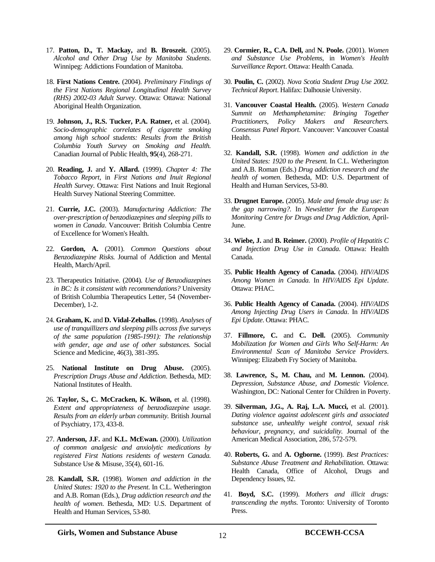- 17. **Patton, D., T. Mackay,** and **B. Broszeit.** (2005). *Alcohol and Other Drug Use by Manitoba Students*. Winnipeg: Addictions Foundation of Manitoba.
- 18. **First Nations Centre.** (2004). *Preliminary Findings of the First Nations Regional Longitudinal Health Survey (RHS) 2002-03 Adult Survey*. Ottawa: Ottawa: National Aboriginal Health Organization.
- 19. **Johnson, J., R.S. Tucker, P.A. Ratner,** et al. (2004). *Socio-demographic correlates of cigarette smoking among high school students: Results from the British Columbia Youth Survey on Smoking and Health.* Canadian Journal of Public Health, **95**(4), 268-271.
- 20. **Reading, J.** and **Y. Allard.** (1999). *Chapter 4: The Tobacco Report*, in *First Nations and Inuit Regional Health Survey*. Ottawa: First Nations and Inuit Regional Health Survey National Steering Committee.
- 21. **Currie, J.C.** (2003). *Manufacturing Addiction: The over-prescription of benzodiazepines and sleeping pills to women in Canada*. Vancouver: British Columbia Centre of Excellence for Women's Health.
- 22. **Gordon, A.** (2001). *Common Questions about Benzodiazepine Risks.* Journal of Addiction and Mental Health, March/April.
- 23. Therapeutics Initiative. (2004). *Use of Benzodiazepines in BC: Is it consistent with recommendations?* University of British Columbia Therapeutics Letter, 54 (November-December), 1-2.
- 24. **Graham, K.** and **D. Vidal-Zeballos.** (1998). *Analyses of use of tranquillizers and sleeping pills across five surveys of the same population (1985-1991): The relationship with gender, age and use of other substances.* Social Science and Medicine, 46(3), 381-395.
- 25. **National Institute on Drug Abuse.** (2005). *Prescription Drugs Abuse and Addiction*. Bethesda, MD: National Institutes of Health.
- 26. **Taylor, S., C. McCracken, K. Wilson,** et al. (1998). *Extent and appropriateness of benzodiazepine usage. Results from an elderly urban community.* British Journal of Psychiatry, 173, 433-8.
- 27. **Anderson, J.F.** and **K.L. McEwan.** (2000). *Utilization of common analgesic and anxiolytic medications by registered First Nations residents of western Canada.* Substance Use & Misuse, 35(4), 601-16.
- 28. **Kandall, S.R.** (1998). *Women and addiction in the United States: 1920 to the Present*. In C.L. Wetherington and A.B. Roman (Eds.), *Drug addiction research and the health of women*. Bethesda, MD: U.S. Department of Health and Human Services, 53-80.
- 29. **Cormier, R., C.A. Dell,** and **N. Poole.** (2001). *Women and Substance Use Problems*, in *Women's Health Surveillance Report*. Ottawa: Health Canada.
- 30. **Poulin, C.** (2002). *Nova Scotia Student Drug Use 2002. Technical Report*. Halifax: Dalhousie University.
- 31. **Vancouver Coastal Health.** (2005). *Western Canada Summit on Methamphetamine: Bringing Together Practitioners, Policy Makers and Researchers. Consensus Panel Report*. Vancouver: Vancouver Coastal Health.
- 32. **Kandall, S.R.** (1998). *Women and addiction in the United States: 1920 to the Present.* In C.L. Wetherington and A.B. Roman (Eds.) *Drug addiction research and the health of women.* Bethesda, MD: U.S. Department of Health and Human Services, 53-80.
- 33. **Drugnet Europe.** (2005). *Male and female drug use: Is the gap narrowing?.* In *Newsletter for the European Monitoring Centre for Drugs and Drug Addiction*, April-June.
- 34. **Wiebe, J.** and **B. Reimer.** (2000). *Profile of Hepatitis C and Injection Drug Use in Canada*. Ottawa: Health Canada.
- 35. **Public Health Agency of Canada.** (2004). *HIV/AIDS Among Women in Canada.* In *HIV/AIDS Epi Update*. Ottawa: PHAC.
- 36. **Public Health Agency of Canada.** (2004). *HIV/AIDS Among Injecting Drug Users in Canada*. In *HIV/AIDS Epi Update*. Ottawa: PHAC.
- 37. **Fillmore, C.** and **C. Dell.** (2005). *Community Mobilization for Women and Girls Who Self-Harm: An Environmental Scan of Manitoba Service Providers*. Winnipeg: Elizabeth Fry Society of Manitoba.
- 38. **Lawrence, S., M. Chau,** and **M. Lennon.** (2004). *Depression, Substance Abuse, and Domestic Violence*. Washington, DC: National Center for Children in Poverty.
- 39. **Silverman, J.G., A. Raj, L.A. Mucci,** et al. (2001). *Dating violence against adolescent girls and associated substance use, unhealthy weight control, sexual risk behaviour, pregnancy, and suicidality.* Journal of the American Medical Association, 286, 572-579.
- 40. **Roberts, G.** and **A. Ogborne.** (1999). *Best Practices: Substance Abuse Treatment and Rehabilitation*. Ottawa: Health Canada, Office of Alcohol, Drugs and Dependency Issues, 92.
- 41. **Boyd, S.C.** (1999). *Mothers and illicit drugs: transcending the myths*. Toronto: University of Toronto Press.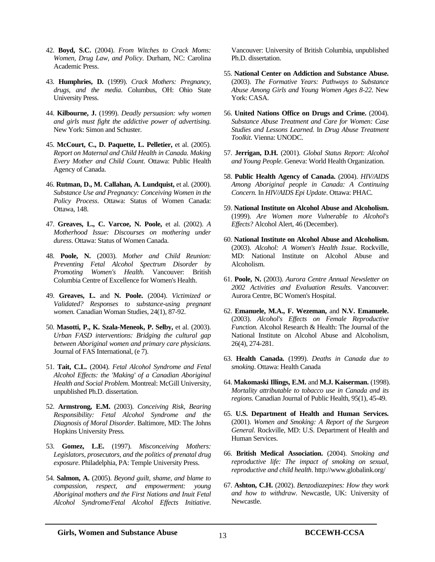- 42. **Boyd, S.C.** (2004). *From Witches to Crack Moms: Women, Drug Law, and Policy*. Durham, NC: Carolina Academic Press.
- 43. **Humphries, D.** (1999). *Crack Mothers: Pregnancy, drugs, and the media*. Columbus, OH: Ohio State University Press.
- 44. **Kilbourne, J.** (1999). *Deadly persuasion: why women and girls must fight the addictive power of advertising.* New York: Simon and Schuster.
- 45. **McCourt, C., D. Paquette, L. Pelletier,** et al. (2005). *Report on Maternal and Child Health in Canada. Making Every Mother and Child Count*. Ottawa: Public Health Agency of Canada.
- 46. **Rutman, D., M. Callahan, A. Lundquist,** et al. (2000). *Substance Use and Pregnancy: Conceiving Women in the Policy Process*. Ottawa: Status of Women Canada: Ottawa, 148.
- 47. **Greaves, L., C. Varcoe, N. Poole,** et al. (2002). *A Motherhood Issue: Discourses on mothering under duress*. Ottawa: Status of Women Canada.
- 48. **Poole, N.** (2003). *Mother and Child Reunion: Preventing Fetal Alcohol Spectrum Disorder by Promoting Women's Health*. Vancouver: British Columbia Centre of Excellence for Women's Health.
- 49. **Greaves, L.** and **N. Poole.** (2004). *Victimized or Validated? Responses to substance-using pregnant women.* Canadian Woman Studies, 24(1), 87-92.
- 50. **Masotti, P., K. Szala-Meneok, P. Selby,** et al. (2003). *Urban FASD interventions: Bridging the cultural gap between Aboriginal women and primary care physicians.* Journal of FAS International, (e 7).
- 51. **Tait, C.L.** (2004). *Fetal Alcohol Syndrome and Fetal Alcohol Effects: the 'Making' of a Canadian Aboriginal Health and Social Problem*. Montreal: McGill University, unpublished Ph.D. dissertation.
- 52. **Armstrong, E.M.** (2003). *Conceiving Risk, Bearing Responsibility: Fetal Alcohol Syndrome and the Diagnosis of Moral Disorder*. Baltimore, MD: The Johns Hopkins University Press.
- 53. **Gomez, L.E.** (1997). *Misconceiving Mothers: Legislators, prosecutors, and the politics of prenatal drug exposure*. Philadelphia, PA: Temple University Press.
- 54. **Salmon, A.** (2005). *Beyond guilt, shame, and blame to compassion, respect, and empowerment: young Aboriginal mothers and the First Nations and Inuit Fetal Alcohol Syndrome/Fetal Alcohol Effects Initiative*.

Vancouver: University of British Columbia, unpublished Ph.D. dissertation.

- 55. **National Center on Addiction and Substance Abuse.**  (2003). *The Formative Years: Pathways to Substance Abuse Among Girls and Young Women Ages 8-22*. New York: CASA.
- 56. **United Nations Office on Drugs and Crime.** (2004). *Substance Abuse Treatment and Care for Women: Case Studies and Lessons Learned.* In *Drug Abuse Treatment Toolkit*. Vienna: UNODC.
- 57. **Jerrigan, D.H.** (2001). *Global Status Report: Alcohol and Young People*. Geneva: World Health Organization.
- 58. **Public Health Agency of Canada.** (2004). *HIV/AIDS Among Aboriginal people in Canada: A Continuing Concern.* In *HIV/AIDS Epi Update*. Ottawa: PHAC.
- 59. **National Institute on Alcohol Abuse and Alcoholism.**  (1999). *Are Women more Vulnerable to Alcohol's Effects?* Alcohol Alert, 46 (December).
- 60. **National Institute on Alcohol Abuse and Alcoholism.**  (2003). *Alcohol: A Women's Health Issue*. Rockville, MD: National Institute on Alcohol Abuse and Alcoholism.
- 61. **Poole, N.** (2003). *Aurora Centre Annual Newsletter on 2002 Activities and Evaluation Results*. Vancouver: Aurora Centre, BC Women's Hospital.
- 62. **Emanuele, M.A., F. Wezeman,** and **N.V. Emanuele.**  (2003). *Alcohol's Effects on Female Reproductive Function.* Alcohol Research & Health: The Journal of the National Institute on Alcohol Abuse and Alcoholism, 26(4), 274-281.
- 63. **Health Canada.** (1999). *Deaths in Canada due to smoking*. Ottawa: Health Canada
- 64. **Makomaski Illings, E.M.** and **M.J. Kaiserman.** (1998). *Mortality attributable to tobacco use in Canada and its regions.* Canadian Journal of Public Health, 95(1), 45-49.
- 65. **U.S. Department of Health and Human Services.**  (2001). *Women and Smoking: A Report of the Surgeon General*. Rockville, MD: U.S. Department of Health and Human Services.
- 66. **British Medical Association.** (2004). *Smoking and reproductive life: The impact of smoking on sexual, reproductive and child health*. http://www.globalink.org/
- 67. **Ashton, C.H.** (2002). *Benzodiazepines: How they work and how to withdraw*. Newcastle, UK: University of Newcastle.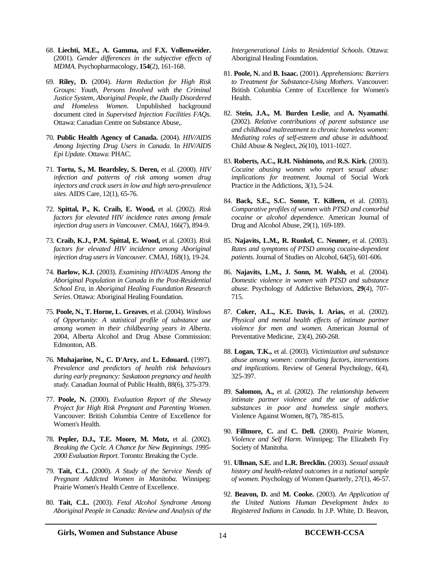- 68. **Liechti, M.E., A. Gamma,** and **F.X. Vollenweider.**  (2001). *Gender differences in the subjective effects of MDMA.* Psychopharmacology, **154**(2), 161-168.
- 69. **Riley, D.** (2004). *Harm Reduction for High Risk Groups: Youth, Persons Involved with the Criminal Justice System, Aboriginal People, the Dually Disordered and Homeless Women*. Unpublished background document cited in *Supervised Injection Facilities FAQs*. Ottawa: Canadian Centre on Substance Abuse,.
- 70. **Public Health Agency of Canada.** (2004). *HIV/AIDS Among Injecting Drug Users in Canada*. In *HIV/AIDS Epi Update*. Ottawa: PHAC.
- 71. **Tortu, S., M. Beardsley, S. Deren,** et al. (2000). *HIV infection and patterns of risk among women drug injectors and crack users in low and high sero-prevalence sites.* AIDS Care, 12(1), 65-76.
- 72. **Spittal, P., K. Craib, E. Wood,** et al. (2002). *Risk factors for elevated HIV incidence rates among female injection drug users in Vancouver.* CMAJ, 166(7), 894-9.
- 73. **Craib, K.J., P.M. Spittal, E. Wood,** et al. (2003). *Risk factors for elevated HIV incidence among Aboriginal injection drug users in Vancouver.* CMAJ, 168(1), 19-24.
- 74. **Barlow, K.J.** (2003). *Examining HIV/AIDS Among the Aboriginal Population in Canada in the Post-Residential School Era*, in *Aboriginal Healing Foundation Research Series*. Ottawa: Aboriginal Healing Foundation.
- 75. **Poole, N., T. Horne, L. Greaves**, et al. (2004). *Windows of Opportunity: A statistical profile of substance use among women in their childbearing years in Alberta*. 2004, Alberta Alcohol and Drug Abuse Commission: Edmonton, AB.
- 76. **Muhajarine, N., C. D'Arcy,** and **L. Edouard.** (1997). *Prevalence and predictors of health risk behaviours during early pregnancy: Saskatoon pregnancy and health study.* Canadian Journal of Public Health, 88(6), 375-379.
- 77. **Poole, N.** (2000). *Evaluation Report of the Sheway Project for High Risk Pregnant and Parenting Women*. Vancouver: British Columbia Centre of Excellence for Women's Health.
- 78. **Pepler, D.J., T.E. Moore, M. Motz,** et al. (2002). *Breaking the Cycle. A Chance for New Beginnings. 1995- 2000 Evaluation Report*. Toronto: Breaking the Cycle.
- 79. **Tait, C.L.** (2000). *A Study of the Service Needs of Pregnant Addicted Women in Manitoba*. Winnipeg: Prairie Women's Health Centre of Excellence.
- 80. **Tait, C.L.** (2003). *Fetal Alcohol Syndrome Among Aboriginal People in Canada: Review and Analysis of the*

*Intergenerational Links to Residential Schools*. Ottawa: Aboriginal Healing Foundation.

- 81. **Poole, N.** and **B. Isaac.** (2001). *Apprehensions: Barriers to Treatment for Substance-Using Mothers*. Vancouver: British Columbia Centre of Excellence for Women's Health.
- 82. **Stein, J.A., M. Burden Leslie**, and **A. Nyamathi**. (2002). *Relative contributions of parent substance use and childhood maltreatment to chronic homeless women: Mediating roles of self-esteem and abuse in adulthood.* Child Abuse & Neglect, 26(10), 1011-1027.
- 83. **Roberts, A.C., R.H. Nishimoto,** and **R.S. Kirk**. (2003). *Cocaine abusing women who report sexual abuse: implications for treatment.* Journal of Social Work Practice in the Addictions, 3(1), 5-24.
- 84. **Back, S.E., S.C. Sonne, T. Killeen,** et al. (2003). *Comparative profiles of women with PTSD and comorbid cocaine or alcohol dependence.* American Journal of Drug and Alcohol Abuse, 29(1), 169-189.
- 85. **Najavits, L.M., R. Runkel, C. Neuner,** et al. (2003). *Rates and symptoms of PTSD among cocaine-dependent patients.* Journal of Studies on Alcohol, 64(5), 601-606.
- 86. **Najavits, L.M., J. Sonn, M. Walsh,** et al. (2004). *Domestic violence in women with PTSD and substance abuse.* Psychology of Addictive Behaviors, **29**(4), 707- 715.
- 87. **Coker, A.L., K.E. Davis, I. Arias,** et al. (2002). *Physical and mental health effects of intimate partner violence for men and women.* American Journal of Preventative Medicine, 23(4), 260-268.
- 88. **Logan, T.K.,** et al. (2003). *Victimization and substance abuse among women: contributing factors, interventions and implications.* Review of General Psychology, 6(4), 325-397.
- 89. **Salomon, A.,** et al. (2002). *The relationship between intimate partner violence and the use of addictive substances in poor and homeless single mothers.* Violence Against Women, 8(7), 785-815.
- 90. **Fillmore, C.** and **C. Dell.** (2000). *Prairie Women, Violence and Self Harm*. Winnipeg: The Elizabeth Fry Society of Manitoba.
- 91. **Ullman, S.E.** and **L.R. Brecklin.** (2003). *Sexual assault history and health-related outcomes in a national sample of women.* Psychology of Women Quarterly, 27(1), 46-57.
- 92. **Beavon, D.** and **M. Cooke.** (2003). *An Application of the United Nations Human Development Index to Registered Indians in Canada*. In J.P. White, D. Beavon,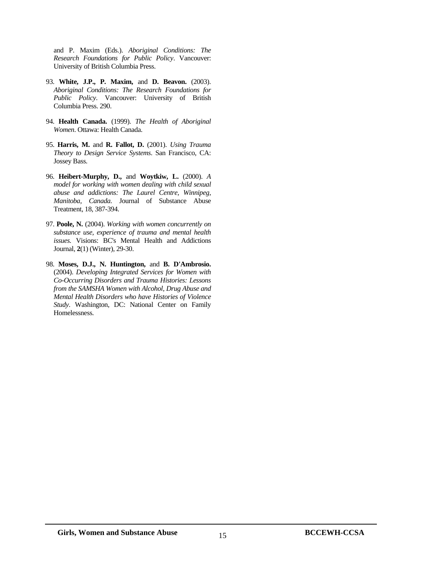and P. Maxim (Eds.). *Aboriginal Conditions: The Research Foundations for Public Policy*. Vancouver: University of British Columbia Press.

- 93. **White, J.P., P. Maxim,** and **D. Beavon.** (2003). *Aboriginal Conditions: The Research Foundations for Public Policy*. Vancouver: University of British Columbia Press. 290.
- 94. **Health Canada.** (1999). *The Health of Aboriginal Women*. Ottawa: Health Canada.
- 95. **Harris, M.** and **R. Fallot, D.** (2001). *Using Trauma Theory to Design Service Systems*. San Francisco, CA: Jossey Bass.
- 96. **Heibert-Murphy, D.,** and **Woytkiw, L.** (2000). *A model for working with women dealing with child sexual abuse and addictions: The Laurel Centre, Winnipeg, Manitoba, Canada.* Journal of Substance Abuse Treatment, 18, 387-394.
- 97. **Poole, N.** (2004). *Working with women concurrently on substance use, experience of trauma and mental health issues.* Visions: BC's Mental Health and Addictions Journal, **2**(1) (Winter), 29-30.
- 98. **Moses, D.J., N. Huntington,** and **B. D'Ambrosio.**  (2004). *Developing Integrated Services for Women with Co-Occurring Disorders and Trauma Histories: Lessons from the SAMSHA Women with Alcohol, Drug Abuse and Mental Health Disorders who have Histories of Violence Study*. Washington, DC: National Center on Family Homelessness.